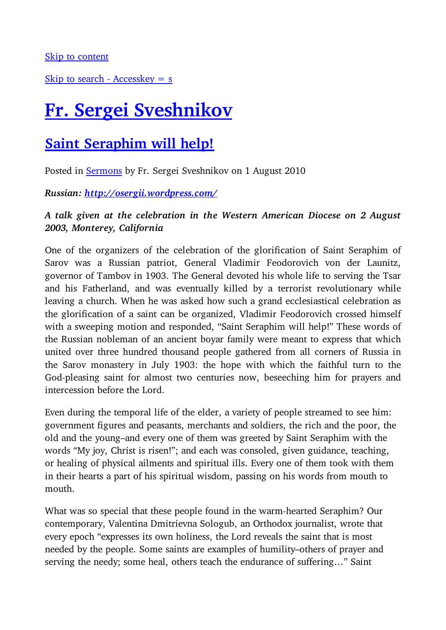Skip to search - Accesskey  $= s$ 

# Fr. Sergei Sveshnikov

# Saint Seraphim will help!

Posted in Sermons by Fr. Sergei Sveshnikov on 1 August 2010

Russian: http://osergii.wordpress.com/

#### A talk given at the celebration in the Western American Diocese on 2 August 2003, Monterey, California

One of the organizers of the celebration of the glorification of Saint Seraphim of Sarov was a Russian patriot, General Vladimir Feodorovich von der Launitz, governor of Tambov in 1903. The General devoted his whole life to serving the Tsar and his Fatherland, and was eventually killed by a terrorist revolutionary while leaving a church. When he was asked how such a grand ecclesiastical celebration as the glorification of a saint can be organized, Vladimir Feodorovich crossed himself with a sweeping motion and responded, "Saint Seraphim will help!" These words of the Russian nobleman of an ancient boyar family were meant to express that which united over three hundred thousand people gathered from all corners of Russia in the Sarov monastery in July 1903: the hope with which the faithful turn to the God-pleasing saint for almost two centuries now, beseeching him for prayers and intercession before the Lord.

Even during the temporal life of the elder, a variety of people streamed to see him: government figures and peasants, merchants and soldiers, the rich and the poor, the old and the young–and every one of them was greeted by Saint Seraphim with the words "My joy, Christ is risen!"; and each was consoled, given guidance, teaching, or healing of physical ailments and spiritual ills. Every one of them took with them in their hearts a part of his spiritual wisdom, passing on his words from mouth to mouth.

What was so special that these people found in the warm-hearted Seraphim? Our contemporary, Valentina Dmitrievna Sologub, an Orthodox journalist, wrote that every epoch "expresses its own holiness, the Lord reveals the saint that is most needed by the people. Some saints are examples of humility–others of prayer and serving the needy; some heal, others teach the endurance of suffering…" Saint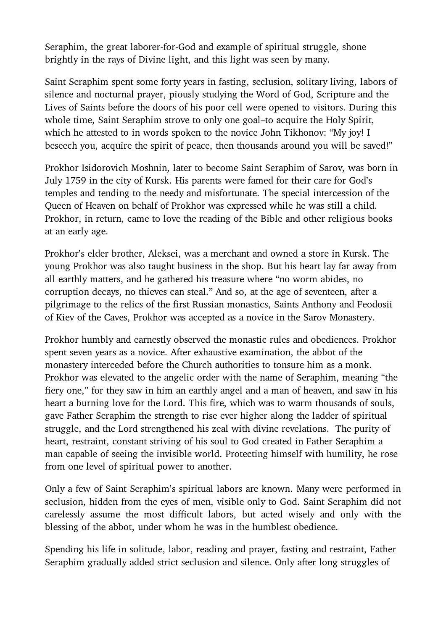Seraphim, the great laborer-for-God and example of spiritual struggle, shone brightly in the rays of Divine light, and this light was seen by many.

Saint Seraphim spent some forty years in fasting, seclusion, solitary living, labors of silence and nocturnal prayer, piously studying the Word of God, Scripture and the Lives of Saints before the doors of his poor cell were opened to visitors. During this whole time, Saint Seraphim strove to only one goal–to acquire the Holy Spirit, which he attested to in words spoken to the novice John Tikhonov: "My joy! I beseech you, acquire the spirit of peace, then thousands around you will be saved!"

Prokhor Isidorovich Moshnin, later to become Saint Seraphim of Sarov, was born in July 1759 in the city of Kursk. His parents were famed for their care for God's temples and tending to the needy and misfortunate. The special intercession of the Queen of Heaven on behalf of Prokhor was expressed while he was still a child. Prokhor, in return, came to love the reading of the Bible and other religious books at an early age.

Prokhor's elder brother, Aleksei, was a merchant and owned a store in Kursk. The young Prokhor was also taught business in the shop. But his heart lay far away from all earthly matters, and he gathered his treasure where "no worm abides, no corruption decays, no thieves can steal." And so, at the age of seventeen, after a pilgrimage to the relics of the first Russian monastics, Saints Anthony and Feodosii of Kiev of the Caves, Prokhor was accepted as a novice in the Sarov Monastery.

Prokhor humbly and earnestly observed the monastic rules and obediences. Prokhor spent seven years as a novice. After exhaustive examination, the abbot of the monastery interceded before the Church authorities to tonsure him as a monk. Prokhor was elevated to the angelic order with the name of Seraphim, meaning "the fiery one," for they saw in him an earthly angel and a man of heaven, and saw in his heart a burning love for the Lord. This fire, which was to warm thousands of souls, gave Father Seraphim the strength to rise ever higher along the ladder of spiritual struggle, and the Lord strengthened his zeal with divine revelations. The purity of heart, restraint, constant striving of his soul to God created in Father Seraphim a man capable of seeing the invisible world. Protecting himself with humility, he rose from one level of spiritual power to another.

Only a few of Saint Seraphim's spiritual labors are known. Many were performed in seclusion, hidden from the eyes of men, visible only to God. Saint Seraphim did not carelessly assume the most difficult labors, but acted wisely and only with the blessing of the abbot, under whom he was in the humblest obedience.

Spending his life in solitude, labor, reading and prayer, fasting and restraint, Father Seraphim gradually added strict seclusion and silence. Only after long struggles of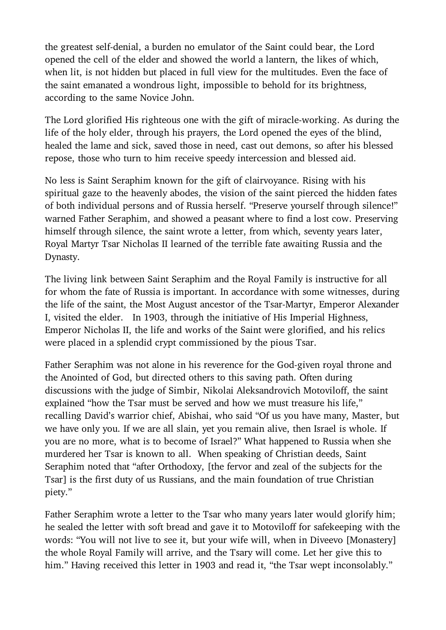the greatest self-denial, a burden no emulator of the Saint could bear, the Lord opened the cell of the elder and showed the world a lantern, the likes of which, when lit, is not hidden but placed in full view for the multitudes. Even the face of the saint emanated a wondrous light, impossible to behold for its brightness, according to the same Novice John.

The Lord glorified His righteous one with the gift of miracle-working. As during the life of the holy elder, through his prayers, the Lord opened the eyes of the blind, healed the lame and sick, saved those in need, cast out demons, so after his blessed repose, those who turn to him receive speedy intercession and blessed aid.

No less is Saint Seraphim known for the gift of clairvoyance. Rising with his spiritual gaze to the heavenly abodes, the vision of the saint pierced the hidden fates of both individual persons and of Russia herself. "Preserve yourself through silence!" warned Father Seraphim, and showed a peasant where to find a lost cow. Preserving himself through silence, the saint wrote a letter, from which, seventy years later, Royal Martyr Tsar Nicholas II learned of the terrible fate awaiting Russia and the Dynasty.

The living link between Saint Seraphim and the Royal Family is instructive for all for whom the fate of Russia is important. In accordance with some witnesses, during the life of the saint, the Most August ancestor of the Tsar-Martyr, Emperor Alexander I, visited the elder. In 1903, through the initiative of His Imperial Highness, Emperor Nicholas II, the life and works of the Saint were glorified, and his relics were placed in a splendid crypt commissioned by the pious Tsar.

Father Seraphim was not alone in his reverence for the God-given royal throne and the Anointed of God, but directed others to this saving path. Often during discussions with the judge of Simbir, Nikolai Aleksandrovich Motoviloff, the saint explained "how the Tsar must be served and how we must treasure his life," recalling David's warrior chief, Abishai, who said "Of us you have many, Master, but we have only you. If we are all slain, yet you remain alive, then Israel is whole. If you are no more, what is to become of Israel?" What happened to Russia when she murdered her Tsar is known to all. When speaking of Christian deeds, Saint Seraphim noted that "after Orthodoxy, [the fervor and zeal of the subjects for the Tsar] is the first duty of us Russians, and the main foundation of true Christian piety."

Father Seraphim wrote a letter to the Tsar who many years later would glorify him; he sealed the letter with soft bread and gave it to Motoviloff for safekeeping with the words: "You will not live to see it, but your wife will, when in Diveevo [Monastery] the whole Royal Family will arrive, and the Tsary will come. Let her give this to him." Having received this letter in 1903 and read it, "the Tsar wept inconsolably."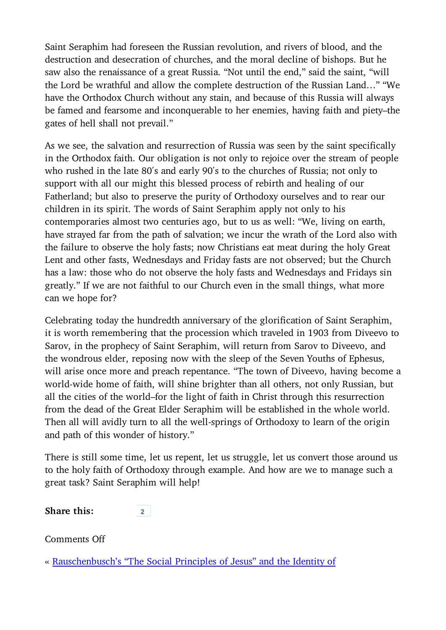Saint Seraphim had foreseen the Russian revolution, and rivers of blood, and the destruction and desecration of churches, and the moral decline of bishops. But he saw also the renaissance of a great Russia. "Not until the end," said the saint, "will the Lord be wrathful and allow the complete destruction of the Russian Land…" "We have the Orthodox Church without any stain, and because of this Russia will always be famed and fearsome and inconquerable to her enemies, having faith and piety–the gates of hell shall not prevail."

As we see, the salvation and resurrection of Russia was seen by the saint specifically in the Orthodox faith. Our obligation is not only to rejoice over the stream of people who rushed in the late 80′s and early 90′s to the churches of Russia; not only to support with all our might this blessed process of rebirth and healing of our Fatherland; but also to preserve the purity of Orthodoxy ourselves and to rear our children in its spirit. The words of Saint Seraphim apply not only to his contemporaries almost two centuries ago, but to us as well: "We, living on earth, have strayed far from the path of salvation; we incur the wrath of the Lord also with the failure to observe the holy fasts; now Christians eat meat during the holy Great Lent and other fasts, Wednesdays and Friday fasts are not observed; but the Church has a law: those who do not observe the holy fasts and Wednesdays and Fridays sin greatly." If we are not faithful to our Church even in the small things, what more can we hope for?

Celebrating today the hundredth anniversary of the glorification of Saint Seraphim, it is worth remembering that the procession which traveled in 1903 from Diveevo to Sarov, in the prophecy of Saint Seraphim, will return from Sarov to Diveevo, and the wondrous elder, reposing now with the sleep of the Seven Youths of Ephesus, will arise once more and preach repentance. "The town of Diveevo, having become a world-wide home of faith, will shine brighter than all others, not only Russian, but all the cities of the world–for the light of faith in Christ through this resurrection from the dead of the Great Elder Seraphim will be established in the whole world. Then all will avidly turn to all the well-springs of Orthodoxy to learn of the origin and path of this wonder of history."

There is still some time, let us repent, let us struggle, let us convert those around us to the holy faith of Orthodoxy through example. And how are we to manage such a great task? Saint Seraphim will help!

Share this: **2**

Comments Off

« Rauschenbusch's "The Social Principles of Jesus" and the Identity of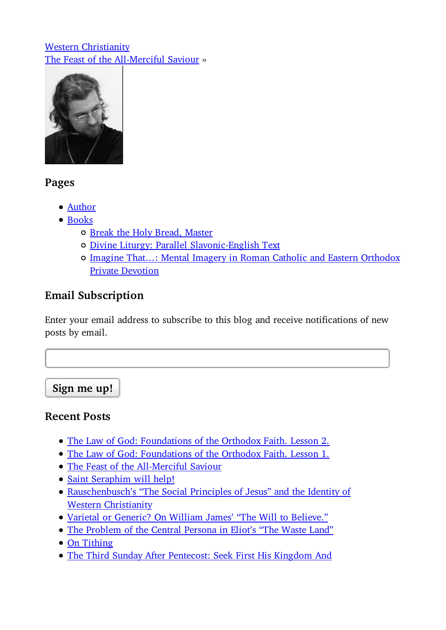#### Western Christianity The Feast of the All-Merciful Saviour »



#### Pages

- Author
- Books
	- o Break the Holy Bread, Master
	- Divine Liturgy: Parallel Slavonic-English Text
	- Imagine That…: Mental Imagery in Roman Catholic and Eastern Orthodox Private Devotion

### Email Subscription

Enter your email address to subscribe to this blog and receive notifications of new posts by email.

Sign me up!

#### Recent Posts

- The Law of God: Foundations of the Orthodox Faith. Lesson 2.
- The Law of God: Foundations of the Orthodox Faith. Lesson 1.
- The Feast of the All-Merciful Saviour
- Saint Seraphim will help!
- Rauschenbusch's "The Social Principles of Jesus" and the Identity of **Western Christianity**
- Varietal or Generic? On William James' "The Will to Believe."
- The Problem of the Central Persona in Eliot's "The Waste Land"
- On Tithing
- The Third Sunday After Pentecost: Seek First His Kingdom And